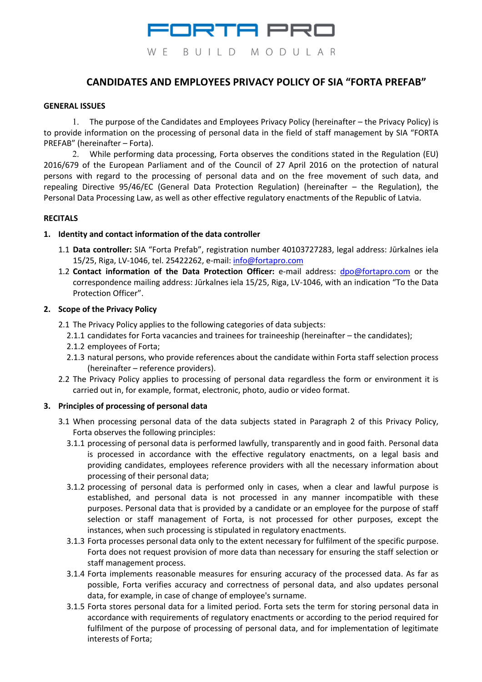

# **CANDIDATES AND EMPLOYEES PRIVACY POLICY OF SIA "FORTA PREFAB"**

#### **GENERAL ISSUES**

1. The purpose of the Candidates and Employees Privacy Policy (hereinafter – the Privacy Policy) is to provide information on the processing of personal data in the field of staff management by SIA "FORTA PREFAB" (hereinafter – Forta).

2. While performing data processing, Forta observes the conditions stated in the Regulation (EU) 2016/679 of the European Parliament and of the Council of 27 April 2016 on the protection of natural persons with regard to the processing of personal data and on the free movement of such data, and repealing Directive 95/46/EC (General Data Protection Regulation) (hereinafter – the Regulation), the Personal Data Processing Law, as well as other effective regulatory enactments of the Republic of Latvia.

#### **RECITALS**

#### **1. Identity and contact information of the data controller**

- 1.1 **Data controller:** SIA "Forta Prefab", registration number 40103727283, legal address: Jūrkalnes iela 15/25, Riga, LV-1046, tel. 25422262, e-mail: info@fortapro.com
- 1.2 **Contact information of the Data Protection Officer:** e-mail address: dpo@fortapro.com or the correspondence mailing address: Jūrkalnes iela 15/25, Riga, LV-1046, with an indication "To the Data Protection Officer".

#### **2. Scope of the Privacy Policy**

- 2.1 The Privacy Policy applies to the following categories of data subjects:
	- 2.1.1 candidates for Forta vacancies and trainees for traineeship (hereinafter the candidates);
	- 2.1.2 employees of Forta;
	- 2.1.3 natural persons, who provide references about the candidate within Forta staff selection process (hereinafter – reference providers).
- 2.2 The Privacy Policy applies to processing of personal data regardless the form or environment it is carried out in, for example, format, electronic, photo, audio or video format.

#### **3. Principles of processing of personal data**

- 3.1 When processing personal data of the data subjects stated in Paragraph 2 of this Privacy Policy, Forta observes the following principles:
	- 3.1.1 processing of personal data is performed lawfully, transparently and in good faith. Personal data is processed in accordance with the effective regulatory enactments, on a legal basis and providing candidates, employees reference providers with all the necessary information about processing of their personal data;
	- 3.1.2 processing of personal data is performed only in cases, when a clear and lawful purpose is established, and personal data is not processed in any manner incompatible with these purposes. Personal data that is provided by a candidate or an employee for the purpose of staff selection or staff management of Forta, is not processed for other purposes, except the instances, when such processing is stipulated in regulatory enactments.
	- 3.1.3 Forta processes personal data only to the extent necessary for fulfilment of the specific purpose. Forta does not request provision of more data than necessary for ensuring the staff selection or staff management process.
	- 3.1.4 Forta implements reasonable measures for ensuring accuracy of the processed data. As far as possible, Forta verifies accuracy and correctness of personal data, and also updates personal data, for example, in case of change of employee's surname.
	- 3.1.5 Forta stores personal data for a limited period. Forta sets the term for storing personal data in accordance with requirements of regulatory enactments or according to the period required for fulfilment of the purpose of processing of personal data, and for implementation of legitimate interests of Forta;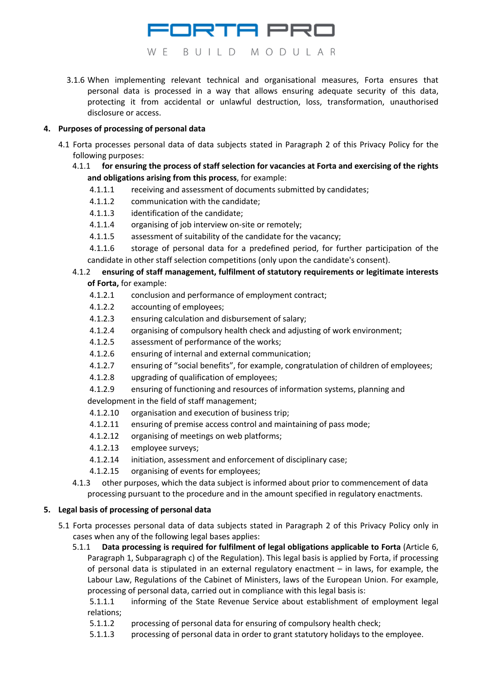

EORTA PRO

3.1.6 When implementing relevant technical and organisational measures, Forta ensures that personal data is processed in a way that allows ensuring adequate security of this data, protecting it from accidental or unlawful destruction, loss, transformation, unauthorised disclosure or access.

#### **4. Purposes of processing of personal data**

- 4.1 Forta processes personal data of data subjects stated in Paragraph 2 of this Privacy Policy for the following purposes:
	- 4.1.1 **for ensuring the process of staff selection for vacancies at Forta and exercising of the rights and obligations arising from this process**, for example:
		- 4.1.1.1 receiving and assessment of documents submitted by candidates;
		- 4.1.1.2 communication with the candidate;
		- 4.1.1.3 identification of the candidate;
		- 4.1.1.4 organising of job interview on-site or remotely;
		- 4.1.1.5 assessment of suitability of the candidate for the vacancy;

4.1.1.6 storage of personal data for a predefined period, for further participation of the candidate in other staff selection competitions (only upon the candidate's consent).

## 4.1.2 **ensuring of staff management, fulfilment of statutory requirements or legitimate interests of Forta,** for example:

- 4.1.2.1 conclusion and performance of employment contract;
- 4.1.2.2 accounting of employees;
- 4.1.2.3 ensuring calculation and disbursement of salary;
- 4.1.2.4 organising of compulsory health check and adjusting of work environment;
- 4.1.2.5 assessment of performance of the works;
- 4.1.2.6 ensuring of internal and external communication;
- 4.1.2.7 ensuring of "social benefits", for example, congratulation of children of employees;
- 4.1.2.8 upgrading of qualification of employees;
- 4.1.2.9 ensuring of functioning and resources of information systems, planning and development in the field of staff management;
- 4.1.2.10 organisation and execution of business trip;
- 4.1.2.11 ensuring of premise access control and maintaining of pass mode;
- 4.1.2.12 organising of meetings on web platforms;
- 4.1.2.13 employee surveys;
- 4.1.2.14 initiation, assessment and enforcement of disciplinary case;
- 4.1.2.15 organising of events for employees;
- 4.1.3 other purposes, which the data subject is informed about prior to commencement of data processing pursuant to the procedure and in the amount specified in regulatory enactments.

### **5. Legal basis of processing of personal data**

- 5.1 Forta processes personal data of data subjects stated in Paragraph 2 of this Privacy Policy only in cases when any of the following legal bases applies:
	- 5.1.1 **Data processing is required for fulfilment of legal obligations applicable to Forta** (Article 6, Paragraph 1, Subparagraph c) of the Regulation). This legal basis is applied by Forta, if processing of personal data is stipulated in an external regulatory enactment – in laws, for example, the Labour Law, Regulations of the Cabinet of Ministers, laws of the European Union. For example, processing of personal data, carried out in compliance with this legal basis is:

5.1.1.1 informing of the State Revenue Service about establishment of employment legal relations;

- 5.1.1.2 processing of personal data for ensuring of compulsory health check;
- 5.1.1.3 processing of personal data in order to grant statutory holidays to the employee.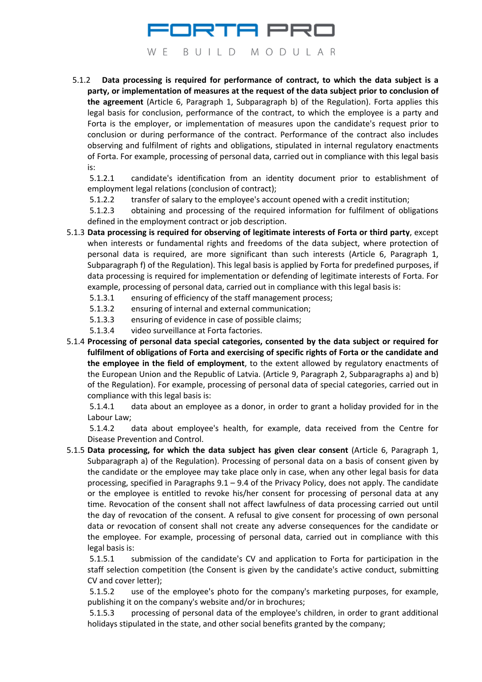# ORTA PRO WE BUILD MODULAR

5.1.2 **Data processing is required for performance of contract, to which the data subject is a party, or implementation of measures at the request of the data subject prior to conclusion of the agreement** (Article 6, Paragraph 1, Subparagraph b) of the Regulation). Forta applies this legal basis for conclusion, performance of the contract, to which the employee is a party and Forta is the employer, or implementation of measures upon the candidate's request prior to conclusion or during performance of the contract. Performance of the contract also includes observing and fulfilment of rights and obligations, stipulated in internal regulatory enactments of Forta. For example, processing of personal data, carried out in compliance with this legal basis is:

5.1.2.1 candidate's identification from an identity document prior to establishment of employment legal relations (conclusion of contract);

5.1.2.2 transfer of salary to the employee's account opened with a credit institution;

5.1.2.3 obtaining and processing of the required information for fulfilment of obligations defined in the employment contract or job description.

- 5.1.3 **Data processing is required for observing of legitimate interests of Forta or third party**, except when interests or fundamental rights and freedoms of the data subject, where protection of personal data is required, are more significant than such interests (Article 6, Paragraph 1, Subparagraph f) of the Regulation). This legal basis is applied by Forta for predefined purposes, if data processing is required for implementation or defending of legitimate interests of Forta. For example, processing of personal data, carried out in compliance with this legal basis is:
	- 5.1.3.1 ensuring of efficiency of the staff management process;
	- 5.1.3.2 ensuring of internal and external communication;
	- 5.1.3.3 ensuring of evidence in case of possible claims;
	- 5.1.3.4 video surveillance at Forta factories.
- 5.1.4 **Processing of personal data special categories, consented by the data subject or required for fulfilment of obligations of Forta and exercising of specific rights of Forta or the candidate and the employee in the field of employment**, to the extent allowed by regulatory enactments of the European Union and the Republic of Latvia. (Article 9, Paragraph 2, Subparagraphs a) and b) of the Regulation). For example, processing of personal data of special categories, carried out in compliance with this legal basis is:

5.1.4.1 data about an employee as a donor, in order to grant a holiday provided for in the Labour Law;

5.1.4.2 data about employee's health, for example, data received from the Centre for Disease Prevention and Control.

5.1.5 **Data processing, for which the data subject has given clear consent** (Article 6, Paragraph 1, Subparagraph a) of the Regulation). Processing of personal data on a basis of consent given by the candidate or the employee may take place only in case, when any other legal basis for data processing, specified in Paragraphs  $9.1 - 9.4$  of the Privacy Policy, does not apply. The candidate or the employee is entitled to revoke his/her consent for processing of personal data at any time. Revocation of the consent shall not affect lawfulness of data processing carried out until the day of revocation of the consent. A refusal to give consent for processing of own personal data or revocation of consent shall not create any adverse consequences for the candidate or the employee. For example, processing of personal data, carried out in compliance with this legal basis is:

5.1.5.1 submission of the candidate's CV and application to Forta for participation in the staff selection competition (the Consent is given by the candidate's active conduct, submitting CV and cover letter);

5.1.5.2 use of the employee's photo for the company's marketing purposes, for example, publishing it on the company's website and/or in brochures;

5.1.5.3 processing of personal data of the employee's children, in order to grant additional holidays stipulated in the state, and other social benefits granted by the company;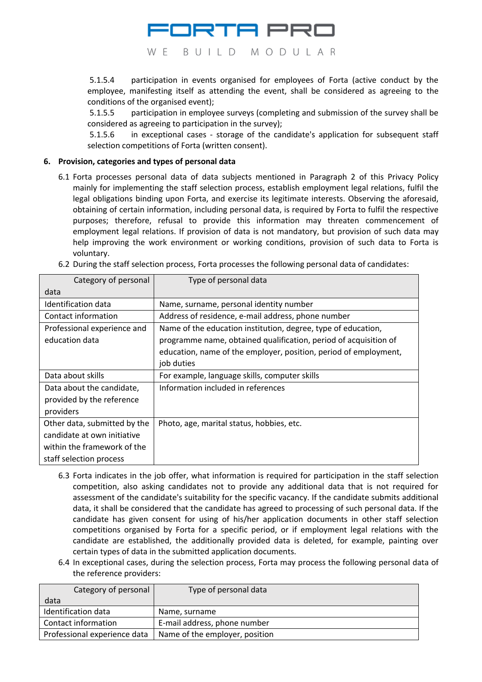

5.1.5.4 participation in events organised for employees of Forta (active conduct by the employee, manifesting itself as attending the event, shall be considered as agreeing to the conditions of the organised event);

5.1.5.5 participation in employee surveys (completing and submission of the survey shall be considered as agreeing to participation in the survey);

5.1.5.6 in exceptional cases - storage of the candidate's application for subsequent staff selection competitions of Forta (written consent).

#### **6. Provision, categories and types of personal data**

6.1 Forta processes personal data of data subjects mentioned in Paragraph 2 of this Privacy Policy mainly for implementing the staff selection process, establish employment legal relations, fulfil the legal obligations binding upon Forta, and exercise its legitimate interests. Observing the aforesaid, obtaining of certain information, including personal data, is required by Forta to fulfil the respective purposes; therefore, refusal to provide this information may threaten commencement of employment legal relations. If provision of data is not mandatory, but provision of such data may help improving the work environment or working conditions, provision of such data to Forta is voluntary.

| 6.2 During the staff selection process, Forta processes the following personal data of candidates: |  |  |
|----------------------------------------------------------------------------------------------------|--|--|
|----------------------------------------------------------------------------------------------------|--|--|

| Category of personal                                                                                                  | Type of personal data                                                                                                                                                                                               |
|-----------------------------------------------------------------------------------------------------------------------|---------------------------------------------------------------------------------------------------------------------------------------------------------------------------------------------------------------------|
| data                                                                                                                  |                                                                                                                                                                                                                     |
| Identification data                                                                                                   | Name, surname, personal identity number                                                                                                                                                                             |
| Contact information                                                                                                   | Address of residence, e-mail address, phone number                                                                                                                                                                  |
| Professional experience and<br>education data                                                                         | Name of the education institution, degree, type of education,<br>programme name, obtained qualification, period of acquisition of<br>education, name of the employer, position, period of employment,<br>job duties |
| Data about skills                                                                                                     | For example, language skills, computer skills                                                                                                                                                                       |
| Data about the candidate,<br>provided by the reference<br>providers                                                   | Information included in references                                                                                                                                                                                  |
| Other data, submitted by the<br>candidate at own initiative<br>within the framework of the<br>staff selection process | Photo, age, marital status, hobbies, etc.                                                                                                                                                                           |

- 6.3 Forta indicates in the job offer, what information is required for participation in the staff selection competition, also asking candidates not to provide any additional data that is not required for assessment of the candidate's suitability for the specific vacancy. If the candidate submits additional data, it shall be considered that the candidate has agreed to processing of such personal data. If the candidate has given consent for using of his/her application documents in other staff selection competitions organised by Forta for a specific period, or if employment legal relations with the candidate are established, the additionally provided data is deleted, for example, painting over certain types of data in the submitted application documents.
- 6.4 In exceptional cases, during the selection process, Forta may process the following personal data of the reference providers:

| Category of personal         | Type of personal data          |
|------------------------------|--------------------------------|
| data                         |                                |
| Identification data          | Name, surname                  |
| Contact information          | E-mail address, phone number   |
| Professional experience data | Name of the employer, position |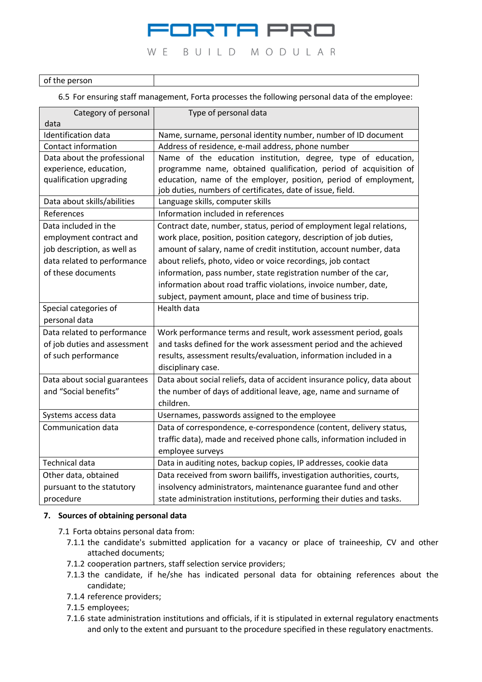## IRTA PRI W E BUILD MODULAR

#### of the person

6.5 For ensuring staff management, Forta processes the following personal data of the employee:

| Category of personal<br>data                                                                                  | Type of personal data                                                                                                                                                                                                                                                             |
|---------------------------------------------------------------------------------------------------------------|-----------------------------------------------------------------------------------------------------------------------------------------------------------------------------------------------------------------------------------------------------------------------------------|
| <b>Identification data</b>                                                                                    | Name, surname, personal identity number, number of ID document                                                                                                                                                                                                                    |
| <b>Contact information</b>                                                                                    | Address of residence, e-mail address, phone number                                                                                                                                                                                                                                |
| Data about the professional<br>experience, education,<br>qualification upgrading                              | Name of the education institution, degree, type of education,<br>programme name, obtained qualification, period of acquisition of<br>education, name of the employer, position, period of employment,<br>job duties, numbers of certificates, date of issue, field.               |
| Data about skills/abilities                                                                                   | Language skills, computer skills                                                                                                                                                                                                                                                  |
| References                                                                                                    | Information included in references                                                                                                                                                                                                                                                |
| Data included in the<br>employment contract and<br>job description, as well as<br>data related to performance | Contract date, number, status, period of employment legal relations,<br>work place, position, position category, description of job duties,<br>amount of salary, name of credit institution, account number, data<br>about reliefs, photo, video or voice recordings, job contact |
| of these documents                                                                                            | information, pass number, state registration number of the car,<br>information about road traffic violations, invoice number, date,<br>subject, payment amount, place and time of business trip.                                                                                  |
| Special categories of<br>personal data                                                                        | Health data                                                                                                                                                                                                                                                                       |
| Data related to performance                                                                                   | Work performance terms and result, work assessment period, goals                                                                                                                                                                                                                  |
| of job duties and assessment                                                                                  | and tasks defined for the work assessment period and the achieved                                                                                                                                                                                                                 |
| of such performance                                                                                           | results, assessment results/evaluation, information included in a<br>disciplinary case.                                                                                                                                                                                           |
| Data about social guarantees<br>and "Social benefits"                                                         | Data about social reliefs, data of accident insurance policy, data about<br>the number of days of additional leave, age, name and surname of<br>children.                                                                                                                         |
| Systems access data                                                                                           | Usernames, passwords assigned to the employee                                                                                                                                                                                                                                     |
| Communication data                                                                                            | Data of correspondence, e-correspondence (content, delivery status,<br>traffic data), made and received phone calls, information included in<br>employee surveys                                                                                                                  |
| <b>Technical data</b>                                                                                         | Data in auditing notes, backup copies, IP addresses, cookie data                                                                                                                                                                                                                  |
| Other data, obtained                                                                                          | Data received from sworn bailiffs, investigation authorities, courts,                                                                                                                                                                                                             |
| pursuant to the statutory                                                                                     | insolvency administrators, maintenance guarantee fund and other                                                                                                                                                                                                                   |
| procedure                                                                                                     | state administration institutions, performing their duties and tasks.                                                                                                                                                                                                             |

#### **7. Sources of obtaining personal data**

- 7.1 Forta obtains personal data from:
	- 7.1.1 the candidate's submitted application for a vacancy or place of traineeship, CV and other attached documents;
	- 7.1.2 cooperation partners, staff selection service providers;
	- 7.1.3 the candidate, if he/she has indicated personal data for obtaining references about the candidate;
	- 7.1.4 reference providers;
	- 7.1.5 employees;
	- 7.1.6 state administration institutions and officials, if it is stipulated in external regulatory enactments and only to the extent and pursuant to the procedure specified in these regulatory enactments.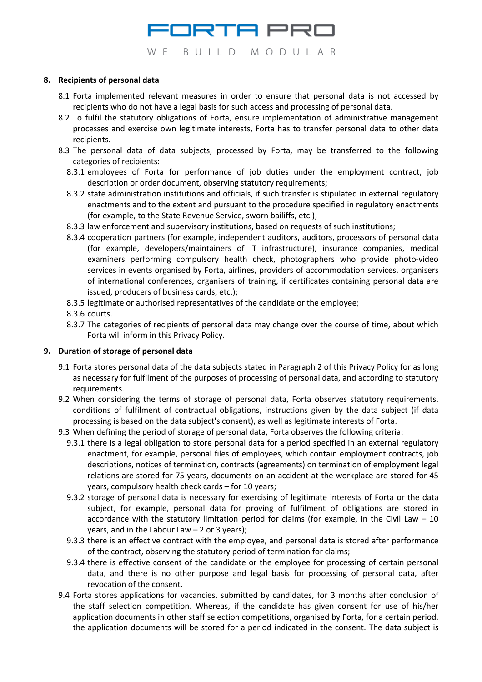

#### **8. Recipients of personal data**

- 8.1 Forta implemented relevant measures in order to ensure that personal data is not accessed by recipients who do not have a legal basis for such access and processing of personal data.
- 8.2 To fulfil the statutory obligations of Forta, ensure implementation of administrative management processes and exercise own legitimate interests, Forta has to transfer personal data to other data recipients.
- 8.3 The personal data of data subjects, processed by Forta, may be transferred to the following categories of recipients:
	- 8.3.1 employees of Forta for performance of job duties under the employment contract, job description or order document, observing statutory requirements;
	- 8.3.2 state administration institutions and officials, if such transfer is stipulated in external regulatory enactments and to the extent and pursuant to the procedure specified in regulatory enactments (for example, to the State Revenue Service, sworn bailiffs, etc.);
	- 8.3.3 law enforcement and supervisory institutions, based on requests of such institutions;
	- 8.3.4 cooperation partners (for example, independent auditors, auditors, processors of personal data (for example, developers/maintainers of IT infrastructure), insurance companies, medical examiners performing compulsory health check, photographers who provide photo-video services in events organised by Forta, airlines, providers of accommodation services, organisers of international conferences, organisers of training, if certificates containing personal data are issued, producers of business cards, etc.);
	- 8.3.5 legitimate or authorised representatives of the candidate or the employee;
	- 8.3.6 courts.
	- 8.3.7 The categories of recipients of personal data may change over the course of time, about which Forta will inform in this Privacy Policy.

#### **9. Duration of storage of personal data**

- 9.1 Forta stores personal data of the data subjects stated in Paragraph 2 of this Privacy Policy for as long as necessary for fulfilment of the purposes of processing of personal data, and according to statutory requirements.
- 9.2 When considering the terms of storage of personal data, Forta observes statutory requirements, conditions of fulfilment of contractual obligations, instructions given by the data subject (if data processing is based on the data subject's consent), as well as legitimate interests of Forta.
- 9.3 When defining the period of storage of personal data, Forta observes the following criteria:
	- 9.3.1 there is a legal obligation to store personal data for a period specified in an external regulatory enactment, for example, personal files of employees, which contain employment contracts, job descriptions, notices of termination, contracts (agreements) on termination of employment legal relations are stored for 75 years, documents on an accident at the workplace are stored for 45 years, compulsory health check cards – for 10 years;
	- 9.3.2 storage of personal data is necessary for exercising of legitimate interests of Forta or the data subject, for example, personal data for proving of fulfilment of obligations are stored in accordance with the statutory limitation period for claims (for example, in the Civil Law  $-10$ years, and in the Labour Law – 2 or 3 years);
	- 9.3.3 there is an effective contract with the employee, and personal data is stored after performance of the contract, observing the statutory period of termination for claims;
	- 9.3.4 there is effective consent of the candidate or the employee for processing of certain personal data, and there is no other purpose and legal basis for processing of personal data, after revocation of the consent.
- 9.4 Forta stores applications for vacancies, submitted by candidates, for 3 months after conclusion of the staff selection competition. Whereas, if the candidate has given consent for use of his/her application documents in other staff selection competitions, organised by Forta, for a certain period, the application documents will be stored for a period indicated in the consent. The data subject is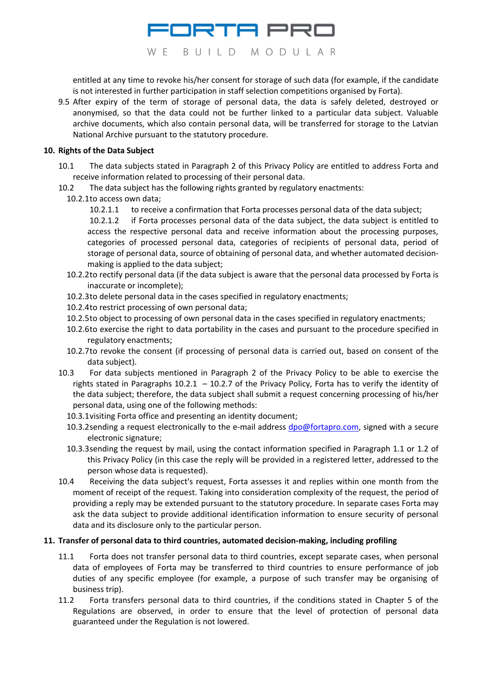# ORTA PRI WE BUILD MODULAR

entitled at any time to revoke his/her consent for storage of such data (for example, if the candidate is not interested in further participation in staff selection competitions organised by Forta).

9.5 After expiry of the term of storage of personal data, the data is safely deleted, destroyed or anonymised, so that the data could not be further linked to a particular data subject. Valuable archive documents, which also contain personal data, will be transferred for storage to the Latvian National Archive pursuant to the statutory procedure.

#### **10. Rights of the Data Subject**

- 10.1 The data subjects stated in Paragraph 2 of this Privacy Policy are entitled to address Forta and receive information related to processing of their personal data.
- 10.2 The data subject has the following rights granted by regulatory enactments:
	- 10.2.1to access own data;
		- 10.2.1.1 to receive a confirmation that Forta processes personal data of the data subject;

10.2.1.2 if Forta processes personal data of the data subject, the data subject is entitled to access the respective personal data and receive information about the processing purposes, categories of processed personal data, categories of recipients of personal data, period of storage of personal data, source of obtaining of personal data, and whether automated decisionmaking is applied to the data subject;

- 10.2.2to rectify personal data (if the data subject is aware that the personal data processed by Forta is inaccurate or incomplete);
- 10.2.3to delete personal data in the cases specified in regulatory enactments;
- 10.2.4to restrict processing of own personal data;
- 10.2.5to object to processing of own personal data in the cases specified in regulatory enactments;
- 10.2.6to exercise the right to data portability in the cases and pursuant to the procedure specified in regulatory enactments;
- 10.2.7to revoke the consent (if processing of personal data is carried out, based on consent of the data subject).
- 10.3 For data subjects mentioned in Paragraph 2 of the Privacy Policy to be able to exercise the rights stated in Paragraphs 10.2.1 – 10.2.7 of the Privacy Policy, Forta has to verify the identity of the data subject; therefore, the data subject shall submit a request concerning processing of his/her personal data, using one of the following methods:
	- 10.3.1visiting Forta office and presenting an identity document;
	- 10.3.2 sending a request electronically to the e-mail address dpo@fortapro.com, signed with a secure electronic signature;
	- 10.3.3sending the request by mail, using the contact information specified in Paragraph 1.1 or 1.2 of this Privacy Policy (in this case the reply will be provided in a registered letter, addressed to the person whose data is requested).
- 10.4 Receiving the data subject's request, Forta assesses it and replies within one month from the moment of receipt of the request. Taking into consideration complexity of the request, the period of providing a reply may be extended pursuant to the statutory procedure. In separate cases Forta may ask the data subject to provide additional identification information to ensure security of personal data and its disclosure only to the particular person.

#### **11. Transfer of personal data to third countries, automated decision-making, including profiling**

- 11.1 Forta does not transfer personal data to third countries, except separate cases, when personal data of employees of Forta may be transferred to third countries to ensure performance of job duties of any specific employee (for example, a purpose of such transfer may be organising of business trip).
- 11.2 Forta transfers personal data to third countries, if the conditions stated in Chapter 5 of the Regulations are observed, in order to ensure that the level of protection of personal data guaranteed under the Regulation is not lowered.